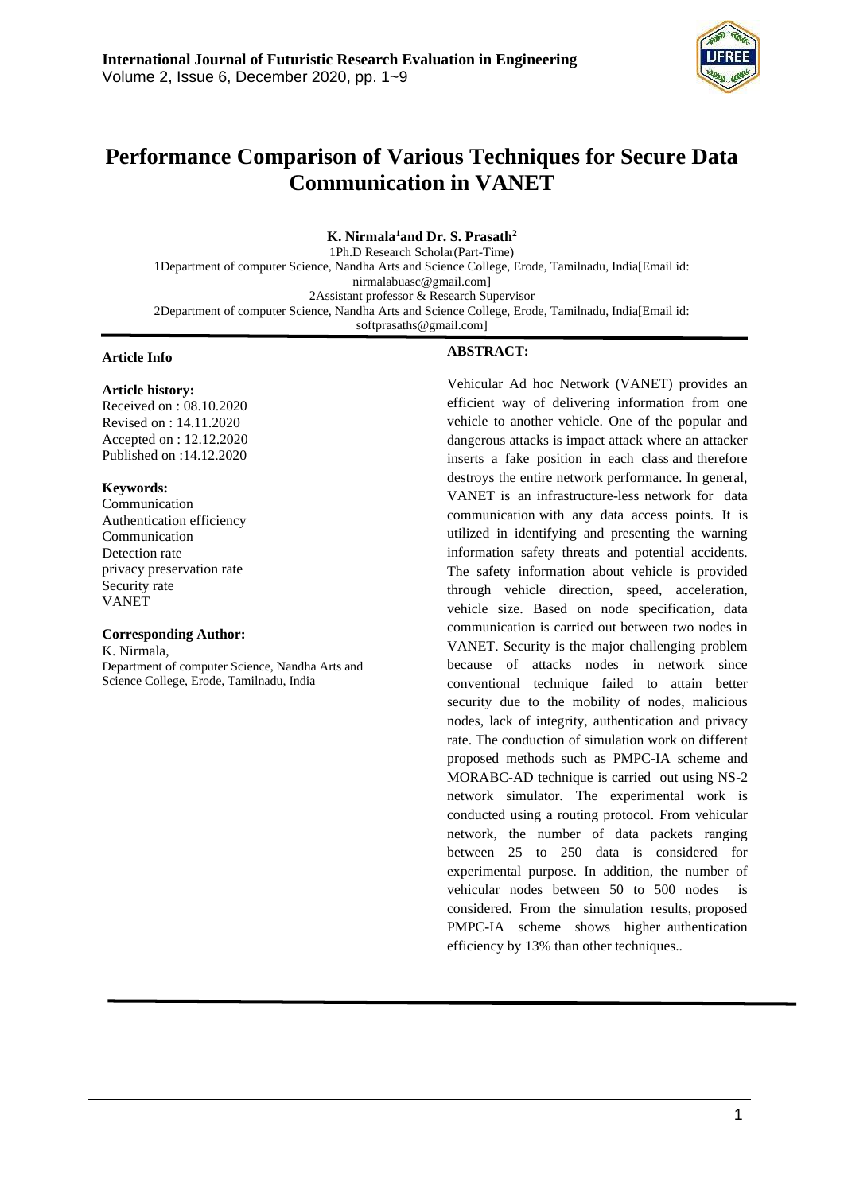

# **Performance Comparison of Various Techniques for Secure Data Communication in VANET**

**K. Nirmala<sup>1</sup>and Dr. S. Prasath<sup>2</sup>** 1Ph.D Research Scholar(Part-Time) 1Department of computer Science, Nandha Arts and Science College, Erode, Tamilnadu, India[Email i[d:](mailto:nirmalabuasc@gmail.com) [nirmalabuasc@gmail.com\]](mailto:nirmalabuasc@gmail.com) 2Assistant professor & Research Supervisor 2Department of computer Science, Nandha Arts and Science College, Erode, Tamilnadu, India[Email id: [softprasaths@gmail.com\]](mailto:softprasaths@gmail.com)

#### **Article Info**

## **Article history:**

Received on : 08.10.2020 Revised on : 14.11.2020 Accepted on : 12.12.2020 Published on :14.12.2020

#### **Keywords:**

Communication Authentication efficiency Communication Detection rate privacy preservation rate Security rate VANET

#### **Corresponding Author:**

K. Nirmala, Department of computer Science, Nandha Arts and Science College, Erode, Tamilnadu, India

#### **ABSTRACT:**

Vehicular Ad hoc Network (VANET) provides an efficient way of delivering information from one vehicle to another vehicle. One of the popular and dangerous attacks is impact attack where an attacker inserts a fake position in each class and therefore destroys the entire network performance. In general, VANET is an infrastructure-less network for data communication with any data access points. It is utilized in identifying and presenting the warning information safety threats and potential accidents. The safety information about vehicle is provided through vehicle direction, speed, acceleration, vehicle size. Based on node specification, data communication is carried out between two nodes in VANET. Security is the major challenging problem because of attacks nodes in network since conventional technique failed to attain better security due to the mobility of nodes, malicious nodes, lack of integrity, authentication and privacy rate. The conduction of simulation work on different proposed methods such as PMPC-IA scheme and MORABC-AD technique is carried out using NS-2 network simulator. The experimental work is conducted using a routing protocol. From vehicular network, the number of data packets ranging between 25 to 250 data is considered for experimental purpose. In addition, the number of vehicular nodes between 50 to 500 nodes is considered. From the simulation results, proposed PMPC-IA scheme shows higher authentication efficiency by 13% than other techniques..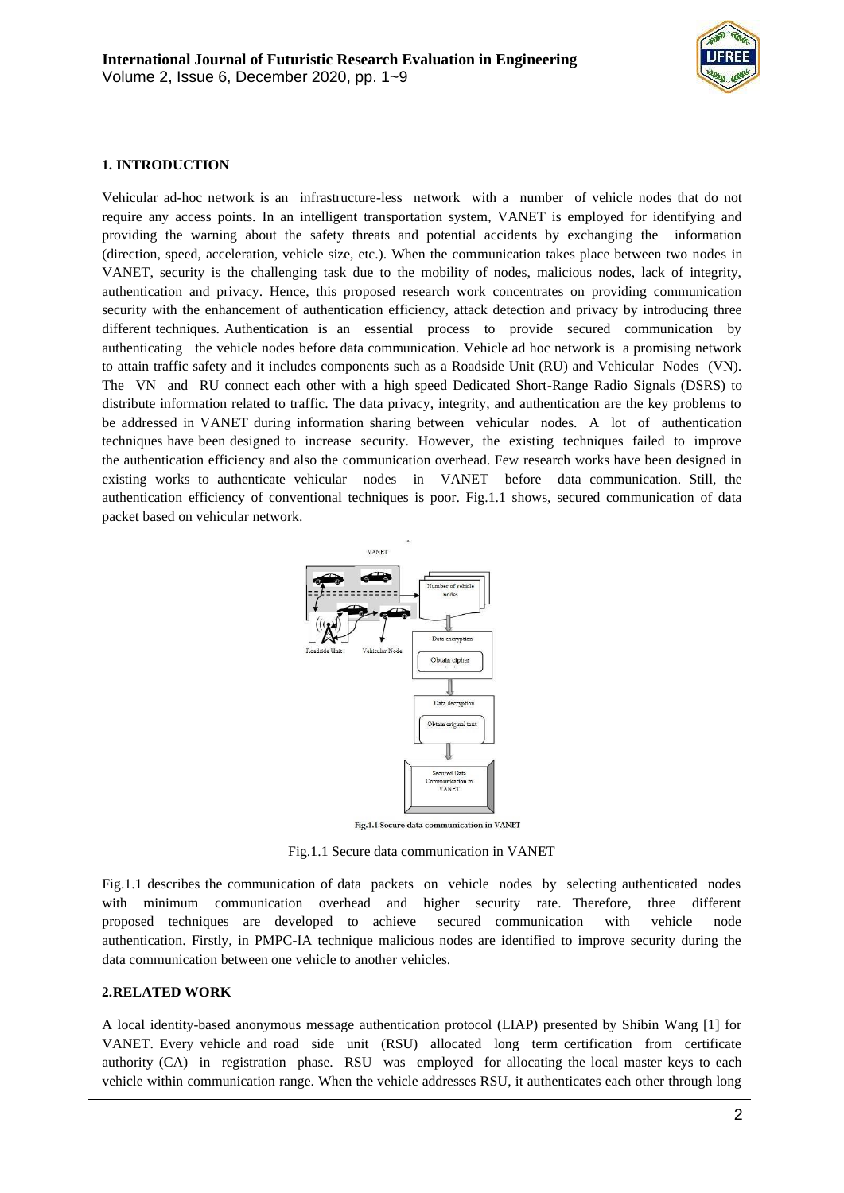

## **1. INTRODUCTION**

Vehicular ad-hoc network is an infrastructure-less network with a number of vehicle nodes that do not require any access points. In an intelligent transportation system, VANET is employed for identifying and providing the warning about the safety threats and potential accidents by exchanging the information (direction, speed, acceleration, vehicle size, etc.). When the communication takes place between two nodes in VANET, security is the challenging task due to the mobility of nodes, malicious nodes, lack of integrity, authentication and privacy. Hence, this proposed research work concentrates on providing communication security with the enhancement of authentication efficiency, attack detection and privacy by introducing three different techniques. Authentication is an essential process to provide secured communication by authenticating the vehicle nodes before data communication. Vehicle ad hoc network is a promising network to attain traffic safety and it includes components such as a Roadside Unit (RU) and Vehicular Nodes (VN). The VN and RU connect each other with a high speed Dedicated Short-Range Radio Signals (DSRS) to distribute information related to traffic. The data privacy, integrity, and authentication are the key problems to be addressed in VANET during information sharing between vehicular nodes. A lot of authentication techniques have been designed to increase security. However, the existing techniques failed to improve the authentication efficiency and also the communication overhead. Few research works have been designed in existing works to authenticate vehicular nodes in VANET before data communication. Still, the authentication efficiency of conventional techniques is poor. Fig.1.1 shows, secured communication of data packet based on vehicular network.



Fig.1.1 Secure data communication in VANET

Fig.1.1 Secure data communication in VANET

Fig.1.1 describes the communication of data packets on vehicle nodes by selecting authenticated nodes with minimum communication overhead and higher security rate. Therefore, three different proposed techniques are developed to achieve secured communication with vehicle node authentication. Firstly, in PMPC-IA technique malicious nodes are identified to improve security during the data communication between one vehicle to another vehicles.

#### **2.RELATED WORK**

A local identity-based anonymous message authentication protocol (LIAP) presented by Shibin Wang [1] for VANET. Every vehicle and road side unit (RSU) allocated long term certification from certificate authority (CA) in registration phase. RSU was employed for allocating the local master keys to each vehicle within communication range. When the vehicle addresses RSU, it authenticates each other through long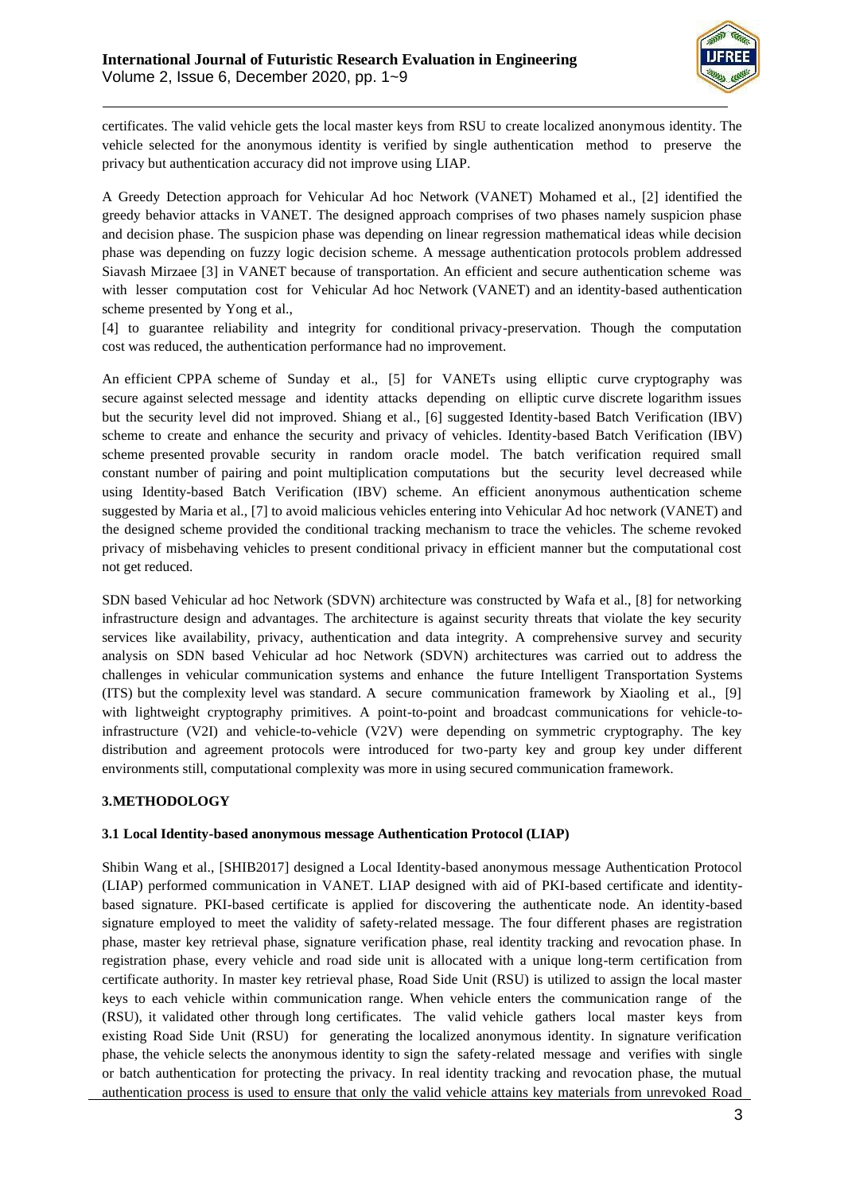

certificates. The valid vehicle gets the local master keys from RSU to create localized anonymous identity. The vehicle selected for the anonymous identity is verified by single authentication method to preserve the privacy but authentication accuracy did not improve using LIAP.

A Greedy Detection approach for Vehicular Ad hoc Network (VANET) Mohamed et al., [2] identified the greedy behavior attacks in VANET. The designed approach comprises of two phases namely suspicion phase and decision phase. The suspicion phase was depending on linear regression mathematical ideas while decision phase was depending on fuzzy logic decision scheme. A message authentication protocols problem addressed Siavash Mirzaee [3] in VANET because of transportation. An efficient and secure authentication scheme was with lesser computation cost for Vehicular Ad hoc Network (VANET) and an identity-based authentication scheme presented by Yong et al.,

[4] to guarantee reliability and integrity for conditional privacy-preservation. Though the computation cost was reduced, the authentication performance had no improvement.

An efficient CPPA scheme of Sunday et al., [5] for VANETs using elliptic curve cryptography was secure against selected message and identity attacks depending on elliptic curve discrete logarithm issues but the security level did not improved. Shiang et al., [6] suggested Identity-based Batch Verification (IBV) scheme to create and enhance the security and privacy of vehicles. Identity-based Batch Verification (IBV) scheme presented provable security in random oracle model. The batch verification required small constant number of pairing and point multiplication computations but the security level decreased while using Identity-based Batch Verification (IBV) scheme. An efficient anonymous authentication scheme suggested by Maria et al., [7] to avoid malicious vehicles entering into Vehicular Ad hoc network (VANET) and the designed scheme provided the conditional tracking mechanism to trace the vehicles. The scheme revoked privacy of misbehaving vehicles to present conditional privacy in efficient manner but the computational cost not get reduced.

SDN based Vehicular ad hoc Network (SDVN) architecture was constructed by Wafa et al., [8] for networking infrastructure design and advantages. The architecture is against security threats that violate the key security services like availability, privacy, authentication and data integrity. A comprehensive survey and security analysis on SDN based Vehicular ad hoc Network (SDVN) architectures was carried out to address the challenges in vehicular communication systems and enhance the future Intelligent Transportation Systems (ITS) but the complexity level was standard. A secure communication framework by Xiaoling et al., [9] with lightweight cryptography primitives. A point-to-point and broadcast communications for vehicle-toinfrastructure (V2I) and vehicle-to-vehicle (V2V) were depending on symmetric cryptography. The key distribution and agreement protocols were introduced for two-party key and group key under different environments still, computational complexity was more in using secured communication framework.

### **3.METHODOLOGY**

### **3.1 Local Identity-based anonymous message Authentication Protocol (LIAP)**

Shibin Wang et al., [SHIB2017] designed a Local Identity-based anonymous message Authentication Protocol (LIAP) performed communication in VANET. LIAP designed with aid of PKI-based certificate and identitybased signature. PKI-based certificate is applied for discovering the authenticate node. An identity-based signature employed to meet the validity of safety-related message. The four different phases are registration phase, master key retrieval phase, signature verification phase, real identity tracking and revocation phase. In registration phase, every vehicle and road side unit is allocated with a unique long-term certification from certificate authority. In master key retrieval phase, Road Side Unit (RSU) is utilized to assign the local master keys to each vehicle within communication range. When vehicle enters the communication range of the (RSU), it validated other through long certificates. The valid vehicle gathers local master keys from existing Road Side Unit (RSU) for generating the localized anonymous identity. In signature verification phase, the vehicle selects the anonymous identity to sign the safety-related message and verifies with single or batch authentication for protecting the privacy. In real identity tracking and revocation phase, the mutual authentication process is used to ensure that only the valid vehicle attains key materials from unrevoked Road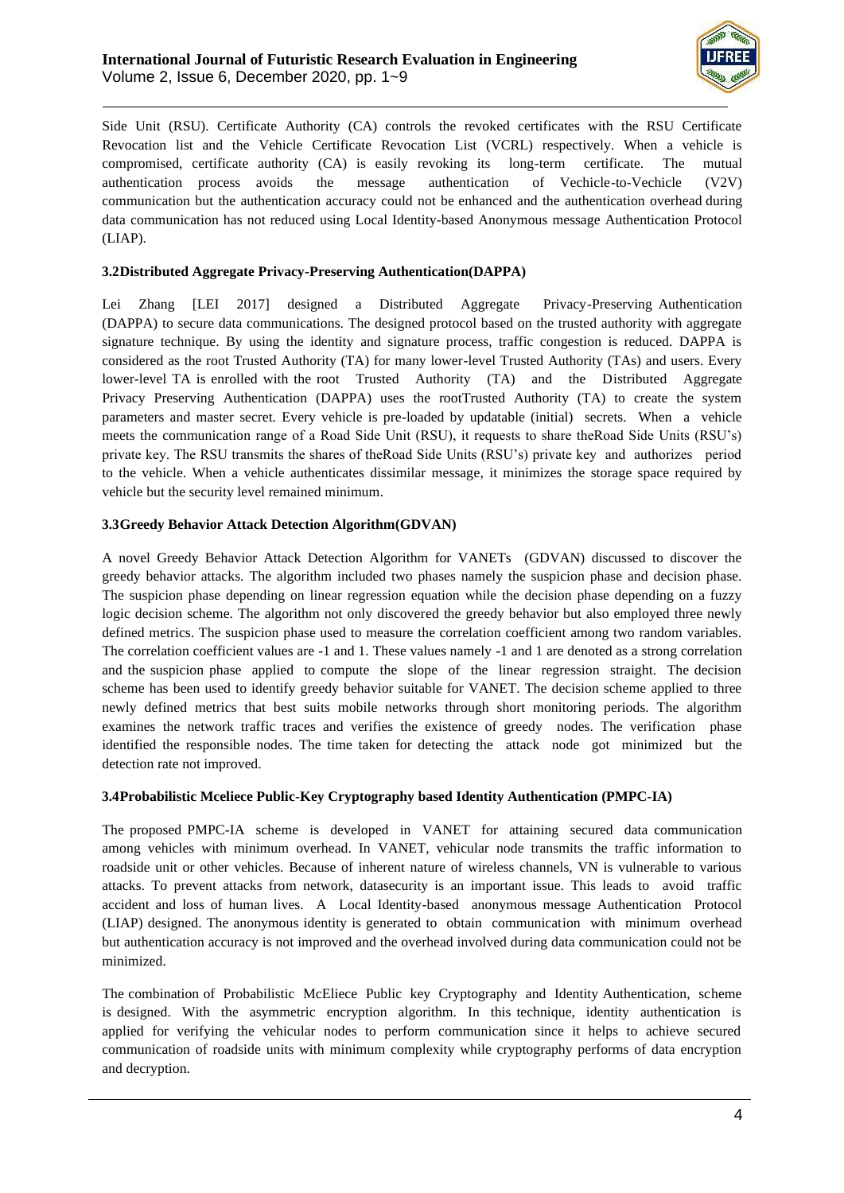

Side Unit (RSU). Certificate Authority (CA) controls the revoked certificates with the RSU Certificate Revocation list and the Vehicle Certificate Revocation List (VCRL) respectively. When a vehicle is compromised, certificate authority (CA) is easily revoking its long-term certificate. The mutual authentication process avoids the message authentication of Vechicle-to-Vechicle (V2V) communication but the authentication accuracy could not be enhanced and the authentication overhead during data communication has not reduced using Local Identity-based Anonymous message Authentication Protocol (LIAP).

## **3.2Distributed Aggregate Privacy-Preserving Authentication(DAPPA)**

Lei Zhang [LEI 2017] designed a Distributed Aggregate Privacy-Preserving Authentication (DAPPA) to secure data communications. The designed protocol based on the trusted authority with aggregate signature technique. By using the identity and signature process, traffic congestion is reduced. DAPPA is considered as the root Trusted Authority (TA) for many lower-level Trusted Authority (TAs) and users. Every lower-level TA is enrolled with the root Trusted Authority (TA) and the Distributed Aggregate Privacy Preserving Authentication (DAPPA) uses the rootTrusted Authority (TA) to create the system parameters and master secret. Every vehicle is pre-loaded by updatable (initial) secrets. When a vehicle meets the communication range of a Road Side Unit (RSU), it requests to share theRoad Side Units (RSU's) private key. The RSU transmits the shares of theRoad Side Units (RSU's) private key and authorizes period to the vehicle. When a vehicle authenticates dissimilar message, it minimizes the storage space required by vehicle but the security level remained minimum.

## **3.3Greedy Behavior Attack Detection Algorithm(GDVAN)**

A novel Greedy Behavior Attack Detection Algorithm for VANETs (GDVAN) discussed to discover the greedy behavior attacks. The algorithm included two phases namely the suspicion phase and decision phase. The suspicion phase depending on linear regression equation while the decision phase depending on a fuzzy logic decision scheme. The algorithm not only discovered the greedy behavior but also employed three newly defined metrics. The suspicion phase used to measure the correlation coefficient among two random variables. The correlation coefficient values are -1 and 1. These values namely -1 and 1 are denoted as a strong correlation and the suspicion phase applied to compute the slope of the linear regression straight. The decision scheme has been used to identify greedy behavior suitable for VANET. The decision scheme applied to three newly defined metrics that best suits mobile networks through short monitoring periods. The algorithm examines the network traffic traces and verifies the existence of greedy nodes. The verification phase identified the responsible nodes. The time taken for detecting the attack node got minimized but the detection rate not improved.

## **3.4Probabilistic Mceliece Public-Key Cryptography based Identity Authentication (PMPC-IA)**

The proposed PMPC-IA scheme is developed in VANET for attaining secured data communication among vehicles with minimum overhead. In VANET, vehicular node transmits the traffic information to roadside unit or other vehicles. Because of inherent nature of wireless channels, VN is vulnerable to various attacks. To prevent attacks from network, datasecurity is an important issue. This leads to avoid traffic accident and loss of human lives. A Local Identity-based anonymous message Authentication Protocol (LIAP) designed. The anonymous identity is generated to obtain communication with minimum overhead but authentication accuracy is not improved and the overhead involved during data communication could not be minimized.

The combination of Probabilistic McEliece Public key Cryptography and Identity Authentication, scheme is designed. With the asymmetric encryption algorithm. In this technique, identity authentication is applied for verifying the vehicular nodes to perform communication since it helps to achieve secured communication of roadside units with minimum complexity while cryptography performs of data encryption and decryption.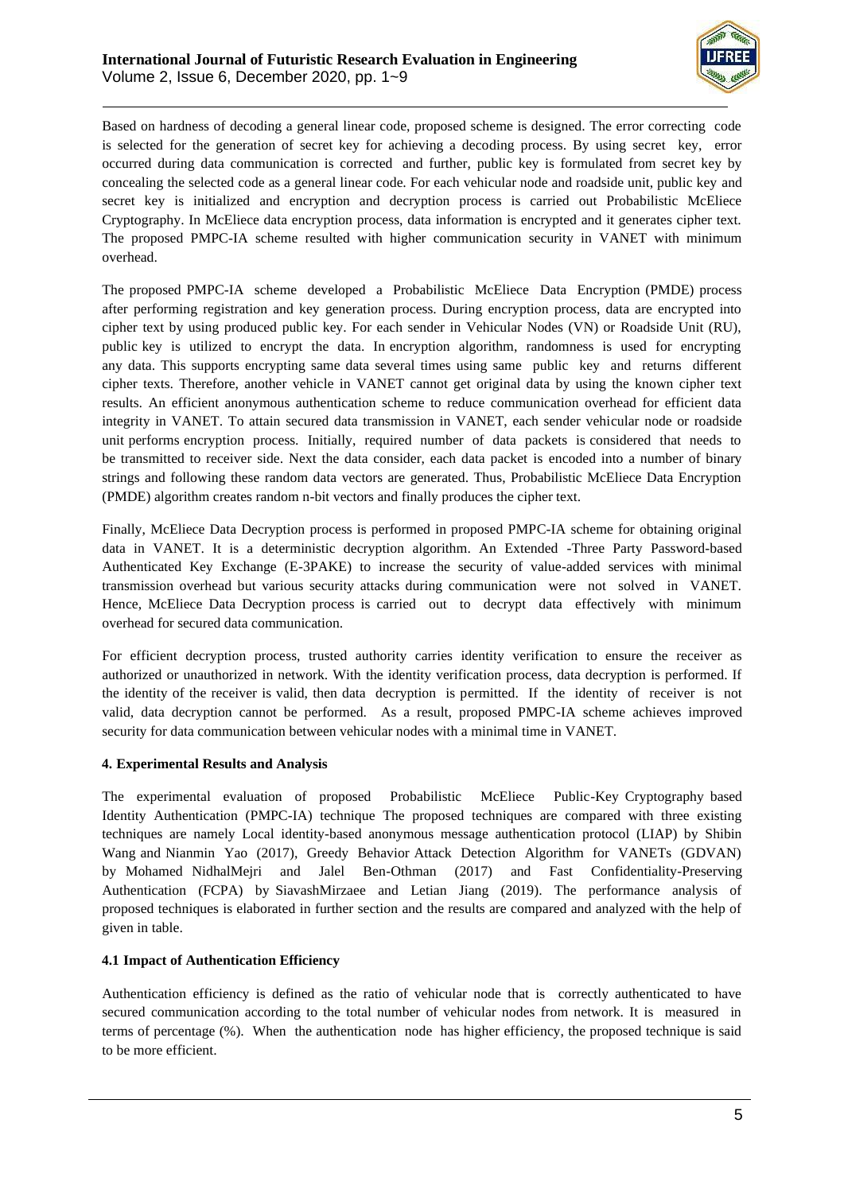

Based on hardness of decoding a general linear code, proposed scheme is designed. The error correcting code is selected for the generation of secret key for achieving a decoding process. By using secret key, error occurred during data communication is corrected and further, public key is formulated from secret key by concealing the selected code as a general linear code. For each vehicular node and roadside unit, public key and secret key is initialized and encryption and decryption process is carried out Probabilistic McEliece Cryptography. In McEliece data encryption process, data information is encrypted and it generates cipher text. The proposed PMPC-IA scheme resulted with higher communication security in VANET with minimum overhead.

The proposed PMPC-IA scheme developed a Probabilistic McEliece Data Encryption (PMDE) process after performing registration and key generation process. During encryption process, data are encrypted into cipher text by using produced public key. For each sender in Vehicular Nodes (VN) or Roadside Unit (RU), public key is utilized to encrypt the data. In encryption algorithm, randomness is used for encrypting any data. This supports encrypting same data several times using same public key and returns different cipher texts. Therefore, another vehicle in VANET cannot get original data by using the known cipher text results. An efficient anonymous authentication scheme to reduce communication overhead for efficient data integrity in VANET. To attain secured data transmission in VANET, each sender vehicular node or roadside unit performs encryption process. Initially, required number of data packets is considered that needs to be transmitted to receiver side. Next the data consider, each data packet is encoded into a number of binary strings and following these random data vectors are generated. Thus, Probabilistic McEliece Data Encryption (PMDE) algorithm creates random n-bit vectors and finally produces the cipher text.

Finally, McEliece Data Decryption process is performed in proposed PMPC-IA scheme for obtaining original data in VANET. It is a deterministic decryption algorithm. An Extended -Three Party Password-based Authenticated Key Exchange (E-3PAKE) to increase the security of value-added services with minimal transmission overhead but various security attacks during communication were not solved in VANET. Hence, McEliece Data Decryption process is carried out to decrypt data effectively with minimum overhead for secured data communication.

For efficient decryption process, trusted authority carries identity verification to ensure the receiver as authorized or unauthorized in network. With the identity verification process, data decryption is performed. If the identity of the receiver is valid, then data decryption is permitted. If the identity of receiver is not valid, data decryption cannot be performed. As a result, proposed PMPC-IA scheme achieves improved security for data communication between vehicular nodes with a minimal time in VANET.

## **4. Experimental Results and Analysis**

The experimental evaluation of proposed Probabilistic McEliece Public-Key Cryptography based Identity Authentication (PMPC-IA) technique The proposed techniques are compared with three existing techniques are namely Local identity-based anonymous message authentication protocol (LIAP) by Shibin Wang and Nianmin Yao (2017), Greedy Behavior Attack Detection Algorithm for VANETs (GDVAN) by Mohamed NidhalMejri and Jalel Ben-Othman (2017) and Fast Confidentiality-Preserving Authentication (FCPA) by SiavashMirzaee and Letian Jiang (2019). The performance analysis of proposed techniques is elaborated in further section and the results are compared and analyzed with the help of given in table.

## **4.1 Impact of Authentication Efficiency**

Authentication efficiency is defined as the ratio of vehicular node that is correctly authenticated to have secured communication according to the total number of vehicular nodes from network. It is measured in terms of percentage (%). When the authentication node has higher efficiency, the proposed technique is said to be more efficient.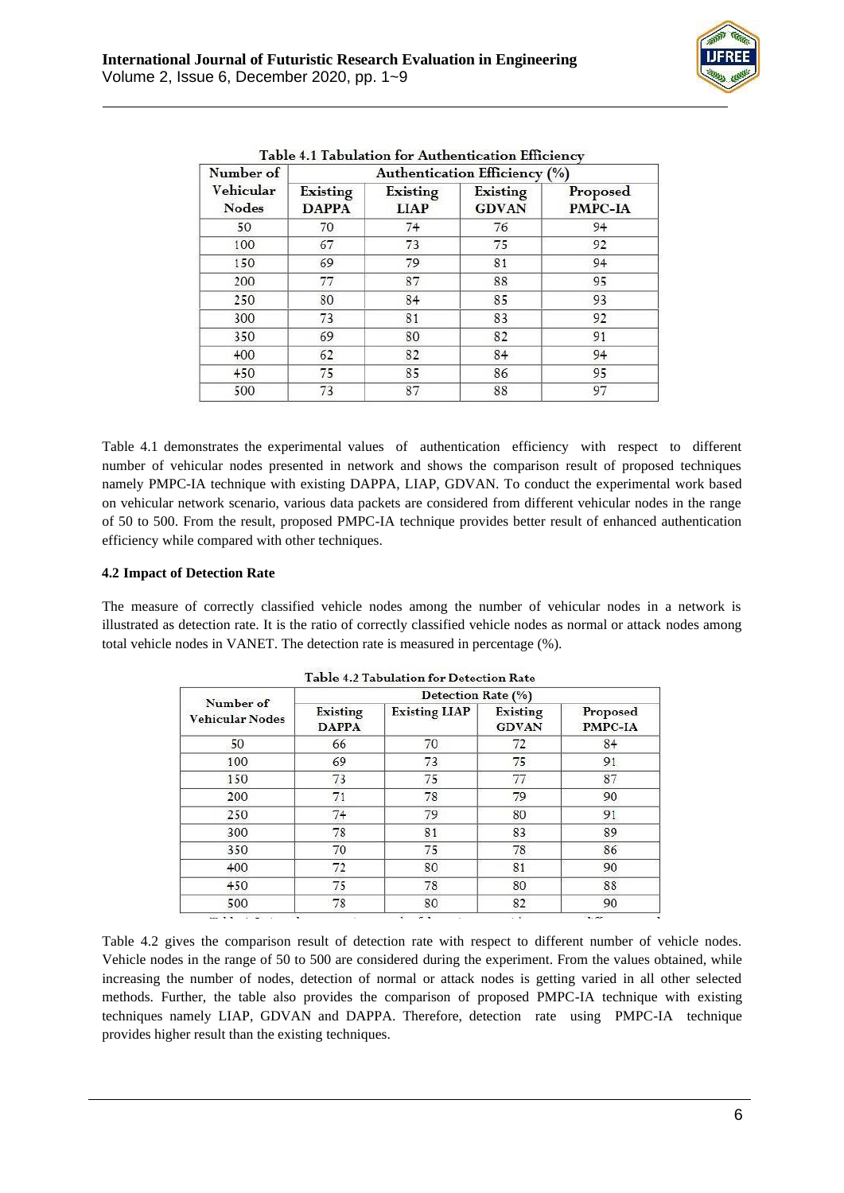

| Number of          | Authentication Efficiency (%) |                         |                          |                     |  |
|--------------------|-------------------------------|-------------------------|--------------------------|---------------------|--|
| Vehicular<br>Nodes | Existing<br><b>DAPPA</b>      | Existing<br><b>LIAP</b> | Existing<br><b>GDVAN</b> | Proposed<br>PMPC-IA |  |
| 50                 | 70                            | 74                      | 76                       | 94                  |  |
| 100                | 67                            | 73                      | 75                       | 92                  |  |
| 150                | 69                            | 79                      | 81                       | 94                  |  |
| 200                | 77                            | 87                      | 88                       | 95                  |  |
| 250                | 80                            | 84                      | 85                       | 93                  |  |
| 300                | 73                            | 81                      | 83                       | 92                  |  |
| 350                | 69                            | 80                      | 82                       | 91                  |  |
| 400                | 62                            | 82                      | 84                       | 94                  |  |
| 450                | 75                            | 85                      | 86                       | 95                  |  |
| 500                | 73                            | 87                      | 88                       | 97                  |  |

Table 4.1 Tabulation for Authentication Efficiency

Table 4.1 demonstrates the experimental values of authentication efficiency with respect to different number of vehicular nodes presented in network and shows the comparison result of proposed techniques namely PMPC-IA technique with existing DAPPA, LIAP, GDVAN. To conduct the experimental work based on vehicular network scenario, various data packets are considered from different vehicular nodes in the range of 50 to 500. From the result, proposed PMPC-IA technique provides better result of enhanced authentication efficiency while compared with other techniques.

## **4.2 Impact of Detection Rate**

The measure of correctly classified vehicle nodes among the number of vehicular nodes in a network is illustrated as detection rate. It is the ratio of correctly classified vehicle nodes as normal or attack nodes among total vehicle nodes in VANET. The detection rate is measured in percentage (%).

|                                     | Detection Rate (%)       |                               |                                 |                     |  |
|-------------------------------------|--------------------------|-------------------------------|---------------------------------|---------------------|--|
| Number of<br><b>Vehicular Nodes</b> | Existing<br><b>DAPPA</b> | <b>Existing LIAP</b>          | <b>Existing</b><br><b>GDVAN</b> | Proposed<br>PMPC-IA |  |
| 50                                  | 66                       | 70                            | 72                              | 84                  |  |
| 100                                 | 69                       | 73                            | 75                              | 91                  |  |
| 150                                 | 73                       | 75                            | 77                              | 87                  |  |
| 200                                 | 71                       | 78                            | 79                              | 90                  |  |
| 250                                 | 74                       | 79                            | 80                              | 91                  |  |
| 300                                 | 78                       | 81                            | 83                              | 89                  |  |
| 350                                 | 70                       | 75                            | 78                              | 86                  |  |
| 400                                 | 72                       | 80                            | 81                              | 90                  |  |
| 450                                 | 75                       | 78                            | 80                              | 88                  |  |
| 500                                 | 78                       | 80                            | 82                              | 90                  |  |
| $-11$ $-12$<br><b>Property</b>      |                          | $\sim$ $\sim$<br>$\mathbf{r}$ | - 7                             | 3.00                |  |

Table 4.2 Tabulation for Detection Rate

Table 4.2 gives the comparison result of detection rate with respect to different number of vehicle nodes. Vehicle nodes in the range of 50 to 500 are considered during the experiment. From the values obtained, while increasing the number of nodes, detection of normal or attack nodes is getting varied in all other selected methods. Further, the table also provides the comparison of proposed PMPC-IA technique with existing techniques namely LIAP, GDVAN and DAPPA. Therefore, detection rate using PMPC-IA technique provides higher result than the existing techniques.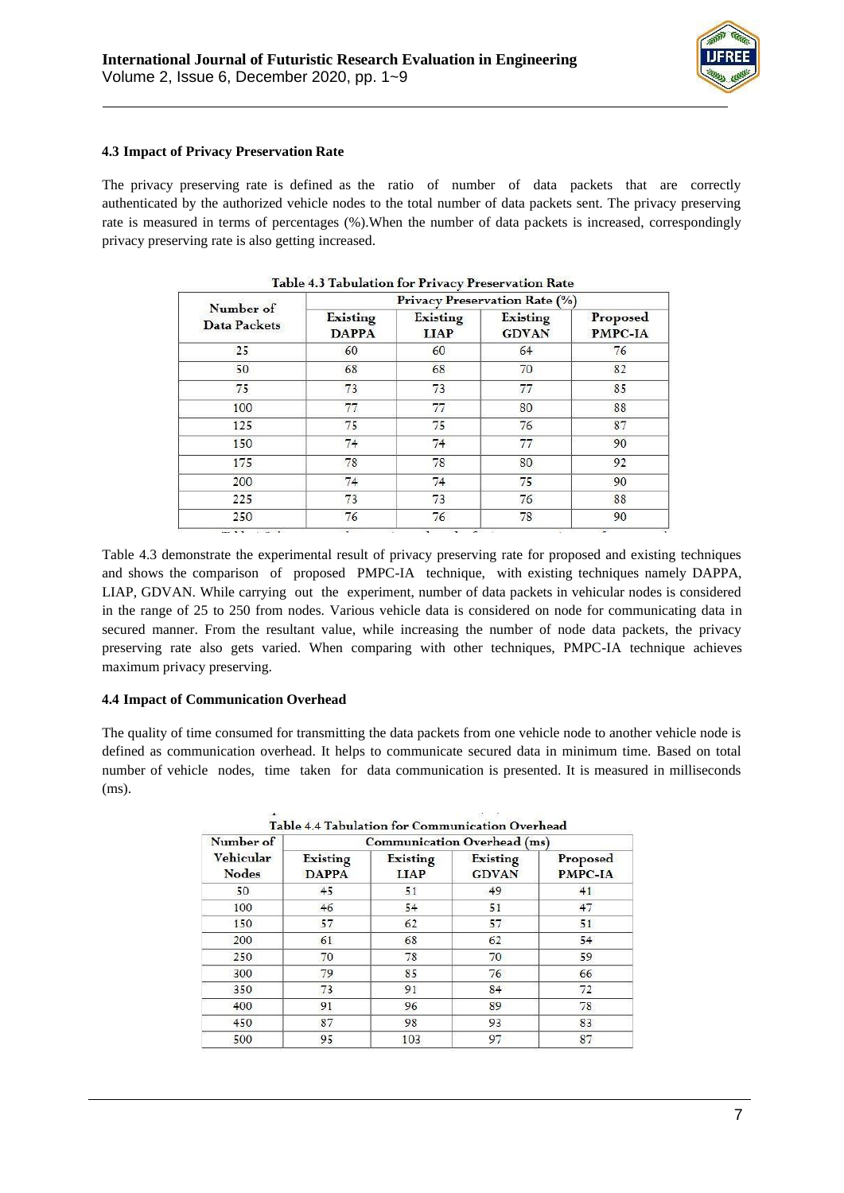

### **4.3 Impact of Privacy Preservation Rate**

The privacy preserving rate is defined as the ratio of number of data packets that are correctly authenticated by the authorized vehicle nodes to the total number of data packets sent. The privacy preserving rate is measured in terms of percentages (%).When the number of data packets is increased, correspondingly privacy preserving rate is also getting increased.

|                                  | Privacy Preservation Rate (%) |                         |                          |                     |  |
|----------------------------------|-------------------------------|-------------------------|--------------------------|---------------------|--|
| Number of<br><b>Data Packets</b> | Existing<br><b>DAPPA</b>      | Existing<br><b>LIAP</b> | Existing<br><b>GDVAN</b> | Proposed<br>PMPC-IA |  |
| 25                               | 60                            | 60                      | 64                       | 76                  |  |
| 50                               | 68                            | 68                      | 70                       | 82                  |  |
| 75                               | 73                            | 73                      | 77                       | 85                  |  |
| 100                              | 77                            | 77                      | 80                       | 88                  |  |
| 125                              | 75                            | 75                      | 76                       | 87                  |  |
| 150                              | 74                            | 74                      | 77                       | 90                  |  |
| 175                              | 78                            | 78                      | 80                       | 92                  |  |
| 200                              | 74                            | 74                      | 75                       | 90                  |  |
| 225                              | 73                            | 73                      | 76                       | 88                  |  |
| 250                              | 76                            | 76                      | 78                       | 90                  |  |

|  | Table 4.3 Tabulation for Privacy Preservation Rate |
|--|----------------------------------------------------|
|  |                                                    |

Table 4.3 demonstrate the experimental result of privacy preserving rate for proposed and existing techniques and shows the comparison of proposed PMPC-IA technique, with existing techniques namely DAPPA, LIAP, GDVAN. While carrying out the experiment, number of data packets in vehicular nodes is considered in the range of 25 to 250 from nodes. Various vehicle data is considered on node for communicating data in secured manner. From the resultant value, while increasing the number of node data packets, the privacy preserving rate also gets varied. When comparing with other techniques, PMPC-IA technique achieves maximum privacy preserving.

### **4.4 Impact of Communication Overhead**

The quality of time consumed for transmitting the data packets from one vehicle node to another vehicle node is defined as communication overhead. It helps to communicate secured data in minimum time. Based on total number of vehicle nodes, time taken for data communication is presented. It is measured in milliseconds (ms).

| Number of<br>Vehicular<br><b>Nodes</b> | Communication Overhead (ms) |                         |                          |                            |  |
|----------------------------------------|-----------------------------|-------------------------|--------------------------|----------------------------|--|
|                                        | Existing<br><b>DAPPA</b>    | Existing<br><b>LIAP</b> | Existing<br><b>GDVAN</b> | Proposed<br><b>PMPC-IA</b> |  |
| 50                                     | 45                          | 51                      | 49                       | 41                         |  |
| 100                                    | 46                          | 54                      | 51                       | 47                         |  |
| 150                                    | 57                          | 62                      | 57                       | 51                         |  |
| 200                                    | 61                          | 68                      | 62                       | 54                         |  |
| 250                                    | 70                          | 78                      | 70                       | 59                         |  |
| 300                                    | 79                          | 85                      | 76                       | 66                         |  |
| 350                                    | 73                          | 91                      | 84                       | 72                         |  |
| 400                                    | 91                          | 96                      | 89                       | 78                         |  |
| 450                                    | 87                          | 98                      | 93                       | 83                         |  |
| 500                                    | 95                          | 103                     | 97                       | 87                         |  |

Table 4.4 Tabulation for Communication Overhead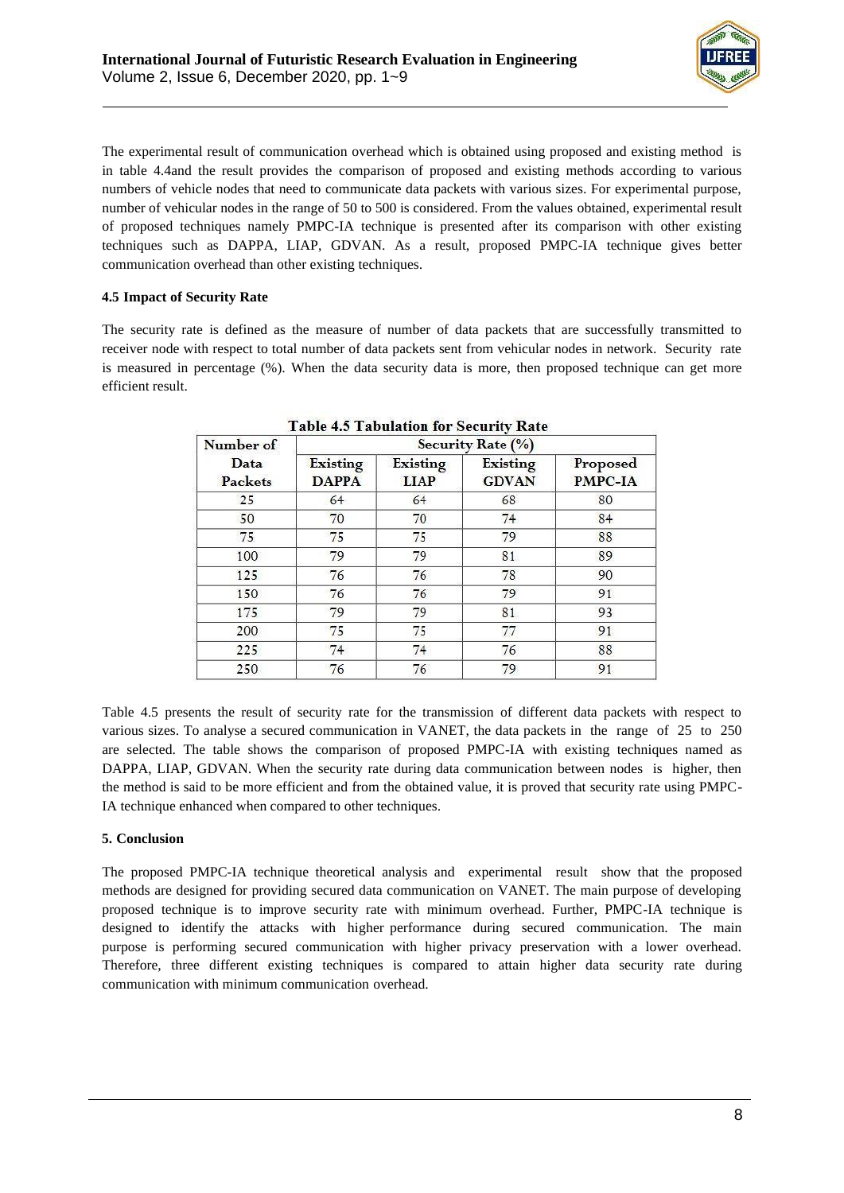

The experimental result of communication overhead which is obtained using proposed and existing method is in table 4.4and the result provides the comparison of proposed and existing methods according to various numbers of vehicle nodes that need to communicate data packets with various sizes. For experimental purpose, number of vehicular nodes in the range of 50 to 500 is considered. From the values obtained, experimental result of proposed techniques namely PMPC-IA technique is presented after its comparison with other existing techniques such as DAPPA, LIAP, GDVAN. As a result, proposed PMPC-IA technique gives better communication overhead than other existing techniques.

## **4.5 Impact of Security Rate**

The security rate is defined as the measure of number of data packets that are successfully transmitted to receiver node with respect to total number of data packets sent from vehicular nodes in network. Security rate is measured in percentage (%). When the data security data is more, then proposed technique can get more efficient result.

| Number of       | Security Rate (%)        |                         |                                 |                            |  |
|-----------------|--------------------------|-------------------------|---------------------------------|----------------------------|--|
| Data<br>Packets | Existing<br><b>DAPPA</b> | Existing<br><b>LIAP</b> | <b>Existing</b><br><b>GDVAN</b> | Proposed<br><b>PMPC-IA</b> |  |
| 25              | 64                       | 64                      | 68                              | 80                         |  |
| 50              | 70                       | 70                      | 74                              | 84                         |  |
| 75              | 75                       | 75                      | 79                              | 88                         |  |
| 100             | 79                       | 79                      | 81                              | 89                         |  |
| 125             | 76                       | 76                      | 78                              | 90                         |  |
| 150             | 76                       | 76                      | 79                              | 91                         |  |
| 175             | 79                       | 79                      | 81                              | 93                         |  |
| 200             | 75                       | 75                      | 77                              | 91                         |  |
| 225             | 74                       | 74                      | 76                              | 88                         |  |
| 250             | 76                       | 76                      | 79                              | 91                         |  |

|  |  |  | Table 4.5 Tabulation for Security Rate |  |
|--|--|--|----------------------------------------|--|
|--|--|--|----------------------------------------|--|

Table 4.5 presents the result of security rate for the transmission of different data packets with respect to various sizes. To analyse a secured communication in VANET, the data packets in the range of 25 to 250 are selected. The table shows the comparison of proposed PMPC-IA with existing techniques named as DAPPA, LIAP, GDVAN. When the security rate during data communication between nodes is higher, then the method is said to be more efficient and from the obtained value, it is proved that security rate using PMPC-IA technique enhanced when compared to other techniques.

## **5. Conclusion**

The proposed PMPC-IA technique theoretical analysis and experimental result show that the proposed methods are designed for providing secured data communication on VANET. The main purpose of developing proposed technique is to improve security rate with minimum overhead. Further, PMPC-IA technique is designed to identify the attacks with higher performance during secured communication. The main purpose is performing secured communication with higher privacy preservation with a lower overhead. Therefore, three different existing techniques is compared to attain higher data security rate during communication with minimum communication overhead.